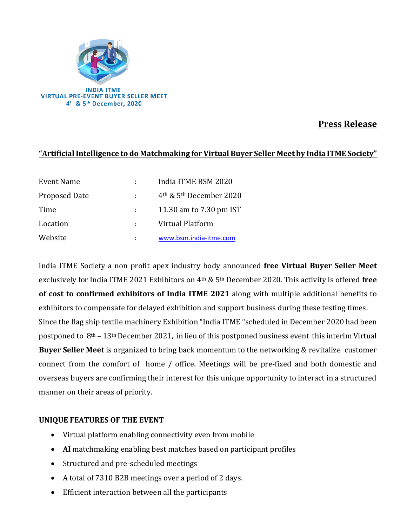

## **Press Release**

## **"Artificial Intelligence to do Matchmaking for Virtual Buyer Seller Meet by India ITME Society"**

| Event Name    |                    | India ITME BSM 2020                             |
|---------------|--------------------|-------------------------------------------------|
| Proposed Date | t.                 | 4 <sup>th</sup> & 5 <sup>th</sup> December 2020 |
| Time          | <b>The Control</b> | 11.30 am to 7.30 pm IST                         |
| Location      |                    | Virtual Platform                                |
| Website       |                    | www.bsm.india-itme.com                          |

India ITME Society a non profit apex industry body announced **free Virtual Buyer Seller Meet** exclusively for India ITME 2021 Exhibitors on 4th & 5th December 2020. This activity is offered **free of cost to confirmed exhibitors of India ITME 2021** along with multiple additional benefits to exhibitors to compensate for delayed exhibition and support business during these testing times. Since the flag ship textile machinery Exhibition "India ITME "scheduled in December 2020 had been postponed to 8th – 13th December 2021, in lieu of this postponed business event this interim Virtual **Buyer Seller Meet** is organized to bring back momentum to the networking & revitalize customer connect from the comfort of home / office. Meetings will be pre-fixed and both domestic and overseas buyers are confirming their interest for this unique opportunity to interact in a structured manner on their areas of priority.

## **UNIQUE FEATURES OF THE EVENT**

- Virtual platform enabling connectivity even from mobile
- **AI** matchmaking enabling best matches based on participant profiles
- Structured and pre-scheduled meetings
- A total of 7310 B2B meetings over a period of 2 days.
- Efficient interaction between all the participants